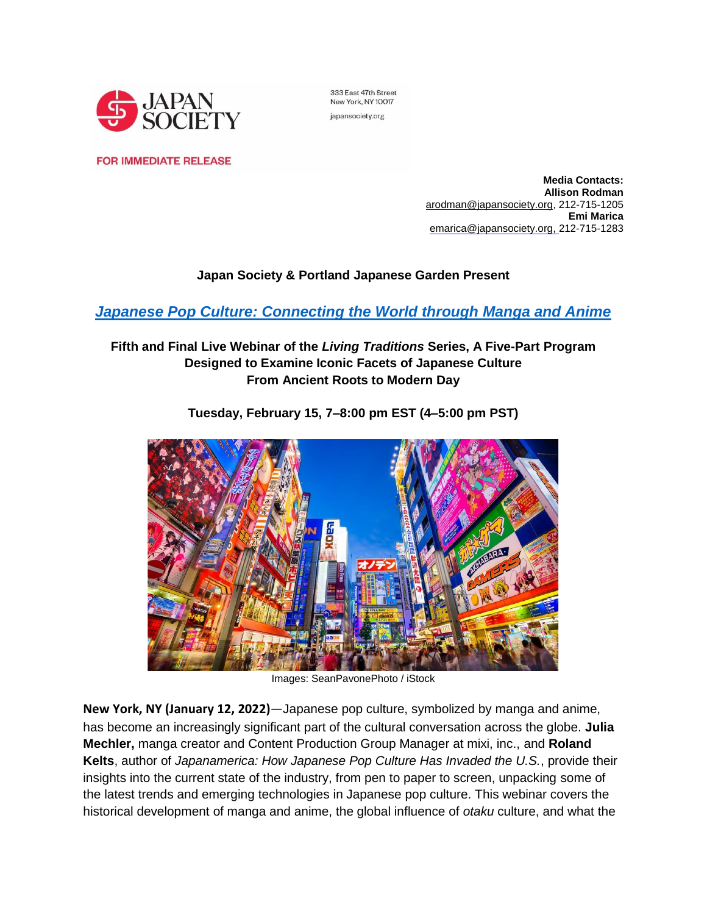

333 East 47th Street New York, NY 10017 japansociety.org

**FOR IMMEDIATE RELEASE** 

**Media Contacts: Allison Rodman**  [arodman@japansociety.org,](mailto:ARodman@japansociety.org%2522%2520/) 212-715-1205 **Emi Marica** [emarica@japansociety.org,](mailto:emarica@japansociety.org) 212-715-1283

# **Japan Society & Portland Japanese Garden Present**

*[Japanese Pop Culture: Connecting the World through Manga and Anime](https://www.japansociety.org/arts-and-culture/talks/japanese-pop-culture-living-traditions?utm_source=mailchimp&utm_medium=pressrelease&utm_term=&utm_content=&utm_campaign=popculture)*

# **Fifth and Final Live Webinar of the** *Living Traditions* **Series, A Five-Part Program Designed to Examine Iconic Facets of Japanese Culture From Ancient Roots to Modern Day**



**Tuesday, February 15, 7–8:00 pm EST (4–5:00 pm PST)**

Images: SeanPavonePhoto / iStock

**New York, NY (January 12, 2022)**—Japanese pop culture, symbolized by manga and anime, has become an increasingly significant part of the cultural conversation across the globe. **Julia Mechler,** manga creator and Content Production Group Manager at mixi, inc., and **Roland Kelts**, author of *Japanamerica: How Japanese Pop Culture Has Invaded the U.S.*, provide their insights into the current state of the industry, from pen to paper to screen, unpacking some of the latest trends and emerging technologies in Japanese pop culture. This webinar covers the historical development of manga and anime, the global influence of *otaku* culture, and what the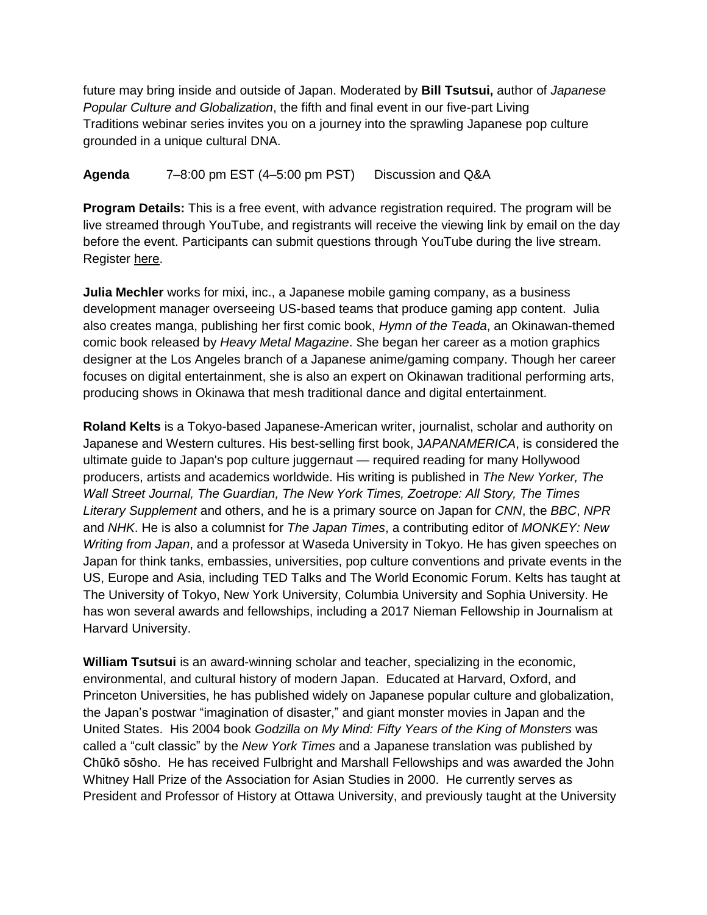future may bring inside and outside of Japan. Moderated by **Bill Tsutsui,** author of *Japanese Popular Culture and Globalization*, the fifth and final event in our five-part Living Traditions webinar series invites you on a journey into the sprawling Japanese pop culture grounded in a unique cultural DNA.

**Agenda** 7–8:00 pm EST (4–5:00 pm PST) Discussion and Q&A

**Program Details:** This is a free event, with advance registration required. The program will be live streamed through YouTube, and registrants will receive the viewing link by email on the day before the event. Participants can submit questions through YouTube during the live stream. Register [here.](https://boxoffice.japansociety.org/events/609d4b8c-d8fb-d617-04b5-823bf5fc895c)

**Julia Mechler** works for mixi, inc., a Japanese mobile gaming company, as a business development manager overseeing US-based teams that produce gaming app content. Julia also creates manga, publishing her first comic book, *Hymn of the Teada*, an Okinawan-themed comic book released by *Heavy Metal Magazine*. She began her career as a motion graphics designer at the Los Angeles branch of a Japanese anime/gaming company. Though her career focuses on digital entertainment, she is also an expert on Okinawan traditional performing arts, producing shows in Okinawa that mesh traditional dance and digital entertainment.

**Roland Kelts** is a Tokyo-based Japanese-American writer, journalist, scholar and authority on Japanese and Western cultures. His best-selling first book, J*APANAMERICA*, is considered the ultimate guide to Japan's pop culture juggernaut — required reading for many Hollywood producers, artists and academics worldwide. His writing is published in *The New Yorker, The Wall Street Journal, The Guardian, The New York Times, Zoetrope: All Story, The Times Literary Supplement* and others, and he is a primary source on Japan for *CNN*, the *BBC*, *NPR* and *NHK*. He is also a columnist for *The Japan Times*, a contributing editor of *MONKEY: New Writing from Japan*, and a professor at Waseda University in Tokyo. He has given speeches on Japan for think tanks, embassies, universities, pop culture conventions and private events in the US, Europe and Asia, including TED Talks and The World Economic Forum. Kelts has taught at The University of Tokyo, New York University, Columbia University and Sophia University. He has won several awards and fellowships, including a 2017 Nieman Fellowship in Journalism at Harvard University.

**William Tsutsui** is an award-winning scholar and teacher, specializing in the economic, environmental, and cultural history of modern Japan. Educated at Harvard, Oxford, and Princeton Universities, he has published widely on Japanese popular culture and globalization, the Japan's postwar "imagination of disaster," and giant monster movies in Japan and the United States. His 2004 book *Godzilla on My Mind: Fifty Years of the King of Monsters* was called a "cult classic" by the *New York Times* and a Japanese translation was published by Chūkō sōsho. He has received Fulbright and Marshall Fellowships and was awarded the John Whitney Hall Prize of the Association for Asian Studies in 2000. He currently serves as President and Professor of History at Ottawa University, and previously taught at the University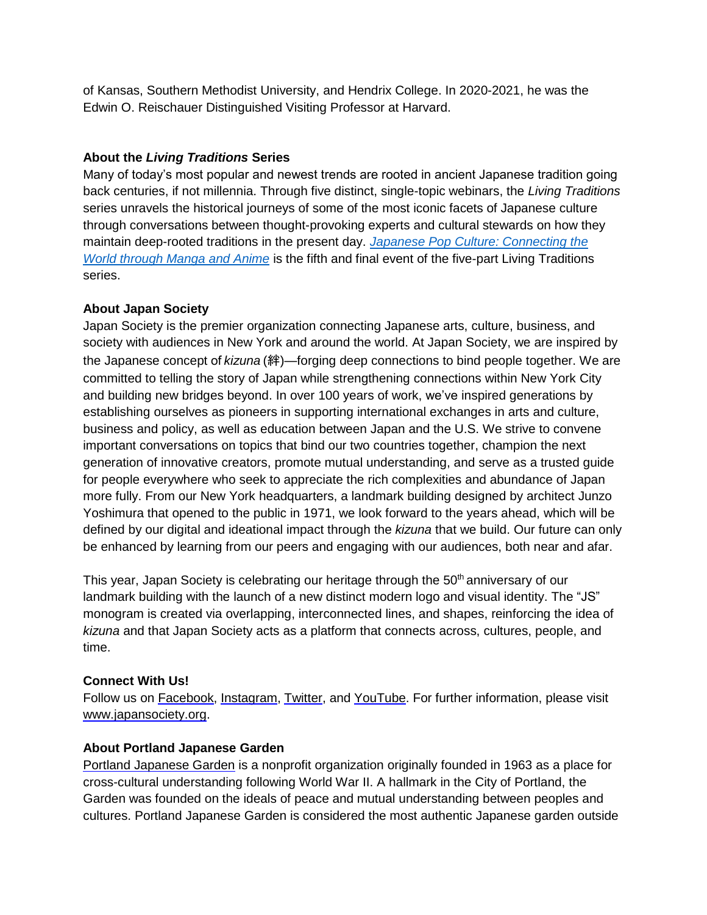of Kansas, Southern Methodist University, and Hendrix College. In 2020-2021, he was the Edwin O. Reischauer Distinguished Visiting Professor at Harvard.

## **About the** *Living Traditions* **Series**

Many of today's most popular and newest trends are rooted in ancient Japanese tradition going back centuries, if not millennia. Through five distinct, single-topic webinars, the *Living Traditions* series unravels the historical journeys of some of the most iconic facets of Japanese culture through conversations between thought-provoking experts and cultural stewards on how they maintain deep-rooted traditions in the present day. *[Japanese Pop Culture: Connecting the](https://www.japansociety.org/arts-and-culture/talks/japanese-pop-culture-living-traditions?utm_source=mailchimp&utm_medium=pressrelease&utm_term=&utm_content=&utm_campaign=popculture)  [World through Manga and Anime](https://www.japansociety.org/arts-and-culture/talks/japanese-pop-culture-living-traditions?utm_source=mailchimp&utm_medium=pressrelease&utm_term=&utm_content=&utm_campaign=popculture)* is the fifth and final event of the five-part Living Traditions series.

## **About Japan Society**

Japan Society is the premier organization connecting Japanese arts, culture, business, and society with audiences in New York and around the world. At Japan Society, we are inspired by the Japanese concept of *kizuna* (絆)—forging deep connections to bind people together. We are committed to telling the story of Japan while strengthening connections within New York City and building new bridges beyond. In over 100 years of work, we've inspired generations by establishing ourselves as pioneers in supporting international exchanges in arts and culture, business and policy, as well as education between Japan and the U.S. We strive to convene important conversations on topics that bind our two countries together, champion the next generation of innovative creators, promote mutual understanding, and serve as a trusted guide for people everywhere who seek to appreciate the rich complexities and abundance of Japan more fully. From our New York headquarters, a landmark building designed by architect Junzo Yoshimura that opened to the public in 1971, we look forward to the years ahead, which will be defined by our digital and ideational impact through the *kizuna* that we build. Our future can only be enhanced by learning from our peers and engaging with our audiences, both near and afar.

This year, Japan Society is celebrating our heritage through the 50<sup>th</sup> anniversary of our landmark building with the launch of a new distinct modern logo and visual identity. The "JS" monogram is created via overlapping, interconnected lines, and shapes, reinforcing the idea of *kizuna* and that Japan Society acts as a platform that connects across, cultures, people, and time.

### **Connect With Us!**

Follow us on [Facebook,](https://www.facebook.com/japansociety) [Instagram,](https://www.instagram.com/japansociety/) [Twitter,](https://twitter.com/japansociety) and [YouTube.](https://www.youtube.com/user/JapanSocietyNYC) For further information, please visit [www.japansociety.org.](https://www.japansociety.org/?utm_source=press&utm_medium=pressrelease&utm_campaign=talks)

### **About Portland Japanese Garden**

Portland [Japanese](https://nam11.safelinks.protection.outlook.com/?url=https%253A%252F%252Fwww.japanesegarden.com%252F&data=04%257C01%257CACabasso%2540japansociety.org%257C2c8ae083fb7f4198d61f08d96bebe8a1%257Ccc53eb7cef7740a39c5e5649d505a427%257C0%257C0%257C637659483501310927%257CUnknown%257CTWFpbGZsb3d8eyJWIjoiMC4wLjAwMDAiLCJQIjoiV2luMzIiLCJBTiI6Ik1haWwiLCJXVCI6Mn0%253D%257C1000&sdata=ht2fqW%252F9m0LlPNXMO1zRvG2jMvw3%252BK3bbGo%252Bz9A0L2c%253D&reserved=0) Garden is a nonprofit organization originally founded in 1963 as a place for cross-cultural understanding following World War II. A hallmark in the City of Portland, the Garden was founded on the ideals of peace and mutual understanding between peoples and cultures. Portland Japanese Garden is considered the most authentic Japanese garden outside